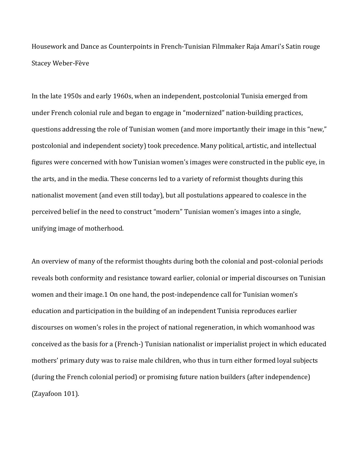In the late 1950s and early 1960s, when an independent, postcolonial Tunisia emerged from under French colonial rule and began to engage in "modernized" nation-building practices, questions addressing the role of Tunisian women (and more importantly their image in this "new," postcolonial and independent society) took precedence. Many political, artistic, and intellectual figures were concerned with how Tunisian women's images were constructed in the public eye, in the arts, and in the media. These concerns led to a variety of reformist thoughts during this nationalist movement (and even still today), but all postulations appeared to coalesce in the perceived belief in the need to construct "modern" Tunisian women's images into a single, unifying image of motherhood.

An overview of many of the reformist thoughts during both the colonial and post-colonial periods reveals both conformity and resistance toward earlier, colonial or imperial discourses on Tunisian women and their image.1 On one hand, the post-independence call for Tunisian women's education and participation in the building of an independent Tunisia reproduces earlier discourses on women's roles in the project of national regeneration, in which womanhood was conceived as the basis for a (French-) Tunisian nationalist or imperialist project in which educated mothers' primary duty was to raise male children, who thus in turn either formed loyal subjects (during the French colonial period) or promising future nation builders (after independence) (Zayafoon 101).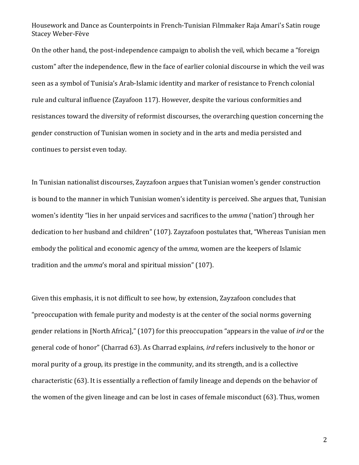On the other hand, the post-independence campaign to abolish the veil, which became a "foreign custom" after the independence, flew in the face of earlier colonial discourse in which the veil was seen as a symbol of Tunisia's Arab-Islamic identity and marker of resistance to French colonial rule and cultural influence (Zayafoon 117). However, despite the various conformities and resistances toward the diversity of reformist discourses, the overarching question concerning the gender construction of Tunisian women in society and in the arts and media persisted and continues to persist even today.

In Tunisian nationalist discourses, Zayzafoon argues that Tunisian women's gender construction is bound to the manner in which Tunisian women's identity is perceived. She argues that, Tunisian women's identity "lies in her unpaid services and sacrifices to the *umma* ('nation') through her dedication to her husband and children" (107). Zayzafoon postulates that, "Whereas Tunisian men embody the political and economic agency of the *umma*, women are the keepers of Islamic tradition and the *umma*'s moral and spiritual mission" (107).

Given this emphasis, it is not difficult to see how, by extension, Zayzafoon concludes that "preoccupation with female purity and modesty is at the center of the social norms governing gender relations in [North Africa]," (107) for this preoccupation "appears in the value of *ird* or the general code of honor" (Charrad 63). As Charrad explains, *ird* refers inclusively to the honor or moral purity of a group, its prestige in the community, and its strength, and is a collective characteristic (63). It is essentially a reflection of family lineage and depends on the behavior of the women of the given lineage and can be lost in cases of female misconduct (63). Thus, women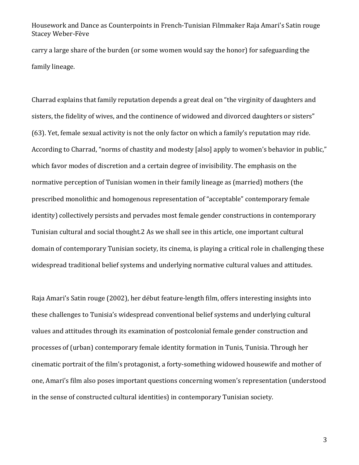carry a large share of the burden (or some women would say the honor) for safeguarding the family lineage.

Charrad explains that family reputation depends a great deal on "the virginity of daughters and sisters, the fidelity of wives, and the continence of widowed and divorced daughters or sisters" (63). Yet, female sexual activity is not the only factor on which a family's reputation may ride. According to Charrad, "norms of chastity and modesty [also] apply to women's behavior in public," which favor modes of discretion and a certain degree of invisibility. The emphasis on the normative perception of Tunisian women in their family lineage as (married) mothers (the prescribed monolithic and homogenous representation of "acceptable" contemporary female identity) collectively persists and pervades most female gender constructions in contemporary Tunisian cultural and social thought.2 As we shall see in this article, one important cultural domain of contemporary Tunisian society, its cinema, is playing a critical role in challenging these widespread traditional belief systems and underlying normative cultural values and attitudes.

Raja Amari's Satin rouge (2002), her début feature-length film, offers interesting insights into these challenges to Tunisia's widespread conventional belief systems and underlying cultural values and attitudes through its examination of postcolonial female gender construction and processes of (urban) contemporary female identity formation in Tunis, Tunisia. Through her cinematic portrait of the film's protagonist, a forty-something widowed housewife and mother of one, Amari's film also poses important questions concerning women's representation (understood in the sense of constructed cultural identities) in contemporary Tunisian society.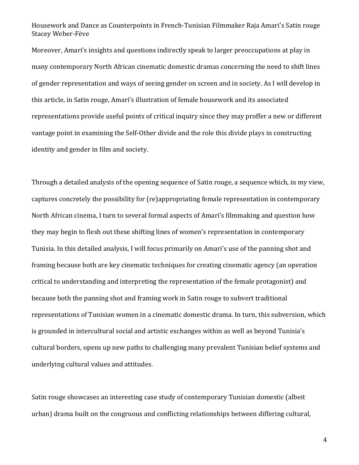Moreover, Amari's insights and questions indirectly speak to larger preoccupations at play in many contemporary North African cinematic domestic dramas concerning the need to shift lines of gender representation and ways of seeing gender on screen and in society. As I will develop in this article, in Satin rouge, Amari's illustration of female housework and its associated representations provide useful points of critical inquiry since they may proffer a new or different vantage point in examining the Self-Other divide and the role this divide plays in constructing identity and gender in film and society.

Through a detailed analysis of the opening sequence of Satin rouge, a sequence which, in my view, captures concretely the possibility for (re)appropriating female representation in contemporary North African cinema, I turn to several formal aspects of Amari's filmmaking and question how they may begin to flesh out these shifting lines of women's representation in contemporary Tunisia. In this detailed analysis, I will focus primarily on Amari's use of the panning shot and framing because both are key cinematic techniques for creating cinematic agency (an operation critical to understanding and interpreting the representation of the female protagonist) and because both the panning shot and framing work in Satin rouge to subvert traditional representations of Tunisian women in a cinematic domestic drama. In turn, this subversion, which is grounded in intercultural social and artistic exchanges within as well as beyond Tunisia's cultural borders, opens up new paths to challenging many prevalent Tunisian belief systems and underlying cultural values and attitudes.

Satin rouge showcases an interesting case study of contemporary Tunisian domestic (albeit urban) drama built on the congruous and conflicting relationships between differing cultural,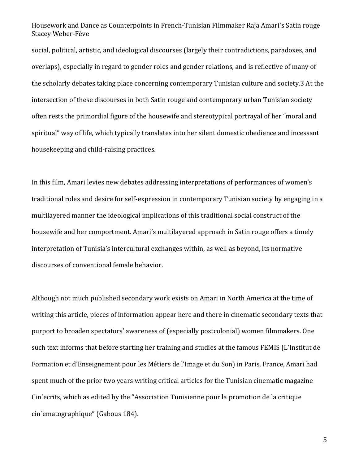social, political, artistic, and ideological discourses (largely their contradictions, paradoxes, and overlaps), especially in regard to gender roles and gender relations, and is reflective of many of the scholarly debates taking place concerning contemporary Tunisian culture and society.3 At the intersection of these discourses in both Satin rouge and contemporary urban Tunisian society often rests the primordial figure of the housewife and stereotypical portrayal of her "moral and spiritual" way of life, which typically translates into her silent domestic obedience and incessant housekeeping and child-raising practices.

In this film, Amari levies new debates addressing interpretations of performances of women's traditional roles and desire for self-expression in contemporary Tunisian society by engaging in a multilayered manner the ideological implications of this traditional social construct of the housewife and her comportment. Amari's multilayered approach in Satin rouge offers a timely interpretation of Tunisia's intercultural exchanges within, as well as beyond, its normative discourses of conventional female behavior.

Although not much published secondary work exists on Amari in North America at the time of writing this article, pieces of information appear here and there in cinematic secondary texts that purport to broaden spectators' awareness of (especially postcolonial) women filmmakers. One such text informs that before starting her training and studies at the famous FEMIS (L'Institut de Formation et d'Enseignement pour les Métiers de l'Image et du Son) in Paris, France, Amari had spent much of the prior two years writing critical articles for the Tunisian cinematic magazine Cin´ecrits, which as edited by the "Association Tunisienne pour la promotion de la critique cin´ematographique" (Gabous 184).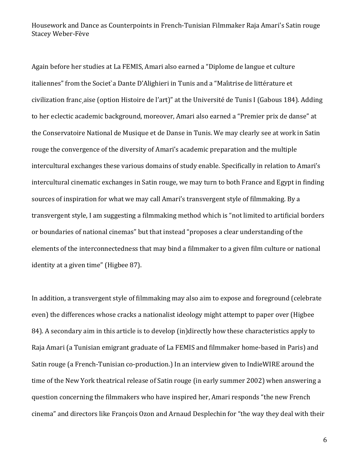Again before her studies at La FEMIS, Amari also earned a "Diplome de langue et culture italiennes" from the Societ`a Dante D'Alighieri in Tunis and a "Maîıtrise de littérature et civilization franc¸aise (option Histoire de l'art)" at the Université de Tunis I (Gabous 184). Adding to her eclectic academic background, moreover, Amari also earned a "Premier prix de danse" at the Conservatoire National de Musique et de Danse in Tunis. We may clearly see at work in Satin rouge the convergence of the diversity of Amari's academic preparation and the multiple intercultural exchanges these various domains of study enable. Specifically in relation to Amari's intercultural cinematic exchanges in Satin rouge, we may turn to both France and Egypt in finding sources of inspiration for what we may call Amari's transvergent style of filmmaking. By a transvergent style, I am suggesting a filmmaking method which is "not limited to artificial borders or boundaries of national cinemas" but that instead "proposes a clear understanding of the elements of the interconnectedness that may bind a filmmaker to a given film culture or national identity at a given time" (Higbee 87).

In addition, a transvergent style of filmmaking may also aim to expose and foreground (celebrate even) the differences whose cracks a nationalist ideology might attempt to paper over (Higbee 84). A secondary aim in this article is to develop (in)directly how these characteristics apply to Raja Amari (a Tunisian emigrant graduate of La FEMIS and filmmaker home-based in Paris) and Satin rouge (a French-Tunisian co-production.) In an interview given to IndieWIRE around the time of the New York theatrical release of Satin rouge (in early summer 2002) when answering a question concerning the filmmakers who have inspired her, Amari responds "the new French cinema" and directors like François Ozon and Arnaud Desplechin for "the way they deal with their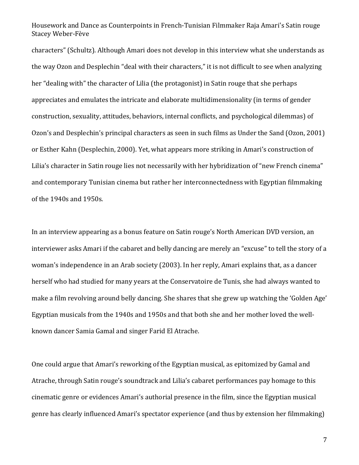characters" (Schultz). Although Amari does not develop in this interview what she understands as the way Ozon and Desplechin "deal with their characters," it is not difficult to see when analyzing her "dealing with" the character of Lilia (the protagonist) in Satin rouge that she perhaps appreciates and emulates the intricate and elaborate multidimensionality (in terms of gender construction, sexuality, attitudes, behaviors, internal conflicts, and psychological dilemmas) of Ozon's and Desplechin's principal characters as seen in such films as Under the Sand (Ozon, 2001) or Esther Kahn (Desplechin, 2000). Yet, what appears more striking in Amari's construction of Lilia's character in Satin rouge lies not necessarily with her hybridization of "new French cinema" and contemporary Tunisian cinema but rather her interconnectedness with Egyptian filmmaking of the 1940s and 1950s.

In an interview appearing as a bonus feature on Satin rouge's North American DVD version, an interviewer asks Amari if the cabaret and belly dancing are merely an "excuse" to tell the story of a woman's independence in an Arab society (2003). In her reply, Amari explains that, as a dancer herself who had studied for many years at the Conservatoire de Tunis, she had always wanted to make a film revolving around belly dancing. She shares that she grew up watching the 'Golden Age' Egyptian musicals from the 1940s and 1950s and that both she and her mother loved the wellknown dancer Samia Gamal and singer Farid El Atrache.

One could argue that Amari's reworking of the Egyptian musical, as epitomized by Gamal and Atrache, through Satin rouge's soundtrack and Lilia's cabaret performances pay homage to this cinematic genre or evidences Amari's authorial presence in the film, since the Egyptian musical genre has clearly influenced Amari's spectator experience (and thus by extension her filmmaking)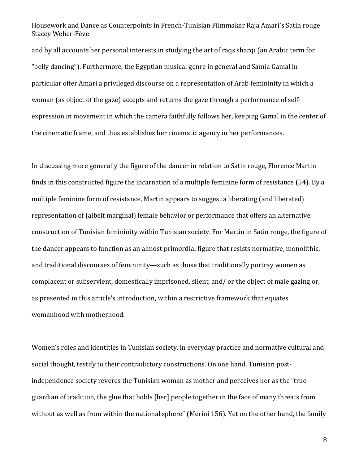and by all accounts her personal interests in studying the art of raqs sharqi (an Arabic term for "belly dancing"). Furthermore, the Egyptian musical genre in general and Samia Gamal in particular offer Amari a privileged discourse on a representation of Arab femininity in which a woman (as object of the gaze) accepts and returns the gaze through a performance of selfexpression in movement in which the camera faithfully follows her, keeping Gamal in the center of the cinematic frame, and thus establishes her cinematic agency in her performances.

In discussing more generally the figure of the dancer in relation to Satin rouge, Florence Martin finds in this constructed figure the incarnation of a multiple feminine form of resistance (54). By a multiple feminine form of resistance, Martin appears to suggest a liberating (and liberated) representation of (albeit marginal) female behavior or performance that offers an alternative construction of Tunisian femininity within Tunisian society. For Martin in Satin rouge, the figure of the dancer appears to function as an almost primordial figure that resists normative, monolithic, and traditional discourses of femininity—such as those that traditionally portray women as complacent or subservient, domestically imprisoned, silent, and/ or the object of male gazing or, as presented in this article's introduction, within a restrictive framework that equates womanhood with motherhood.

Women's roles and identities in Tunisian society, in everyday practice and normative cultural and social thought, testify to their contradictory constructions. On one hand, Tunisian postindependence society reveres the Tunisian woman as mother and perceives her as the "true guardian of tradition, the glue that holds [her] people together in the face of many threats from without as well as from within the national sphere" (Merini 156). Yet on the other hand, the family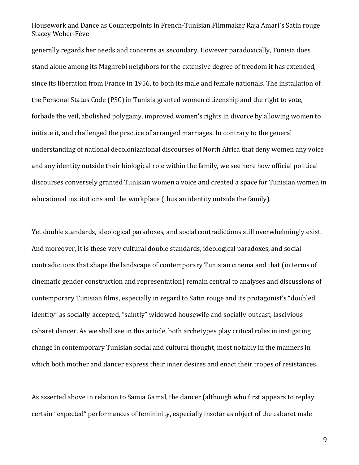generally regards her needs and concerns as secondary. However paradoxically, Tunisia does stand alone among its Maghrebi neighbors for the extensive degree of freedom it has extended, since its liberation from France in 1956, to both its male and female nationals. The installation of the Personal Status Code (PSC) in Tunisia granted women citizenship and the right to vote, forbade the veil, abolished polygamy, improved women's rights in divorce by allowing women to initiate it, and challenged the practice of arranged marriages. In contrary to the general understanding of national decolonizational discourses of North Africa that deny women any voice and any identity outside their biological role within the family, we see here how official political discourses conversely granted Tunisian women a voice and created a space for Tunisian women in educational institutions and the workplace (thus an identity outside the family).

Yet double standards, ideological paradoxes, and social contradictions still overwhelmingly exist. And moreover, it is these very cultural double standards, ideological paradoxes, and social contradictions that shape the landscape of contemporary Tunisian cinema and that (in terms of cinematic gender construction and representation) remain central to analyses and discussions of contemporary Tunisian films, especially in regard to Satin rouge and its protagonist's "doubled identity" as socially-accepted, "saintly" widowed housewife and socially-outcast, lascivious cabaret dancer. As we shall see in this article, both archetypes play critical roles in instigating change in contemporary Tunisian social and cultural thought, most notably in the manners in which both mother and dancer express their inner desires and enact their tropes of resistances.

As asserted above in relation to Samia Gamal, the dancer (although who first appears to replay certain "expected" performances of femininity, especially insofar as object of the cabaret male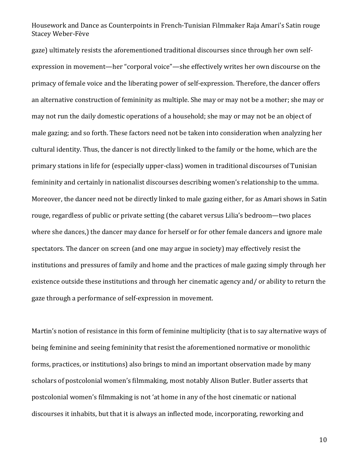gaze) ultimately resists the aforementioned traditional discourses since through her own selfexpression in movement—her "corporal voice"—she effectively writes her own discourse on the primacy of female voice and the liberating power of self-expression. Therefore, the dancer offers an alternative construction of femininity as multiple. She may or may not be a mother; she may or may not run the daily domestic operations of a household; she may or may not be an object of male gazing; and so forth. These factors need not be taken into consideration when analyzing her cultural identity. Thus, the dancer is not directly linked to the family or the home, which are the primary stations in life for (especially upper-class) women in traditional discourses of Tunisian femininity and certainly in nationalist discourses describing women's relationship to the umma. Moreover, the dancer need not be directly linked to male gazing either, for as Amari shows in Satin rouge, regardless of public or private setting (the cabaret versus Lilia's bedroom—two places where she dances,) the dancer may dance for herself or for other female dancers and ignore male spectators. The dancer on screen (and one may argue in society) may effectively resist the institutions and pressures of family and home and the practices of male gazing simply through her existence outside these institutions and through her cinematic agency and/ or ability to return the gaze through a performance of self-expression in movement.

Martin's notion of resistance in this form of feminine multiplicity (that is to say alternative ways of being feminine and seeing femininity that resist the aforementioned normative or monolithic forms, practices, or institutions) also brings to mind an important observation made by many scholars of postcolonial women's filmmaking, most notably Alison Butler. Butler asserts that postcolonial women's filmmaking is not 'at home in any of the host cinematic or national discourses it inhabits, but that it is always an inflected mode, incorporating, reworking and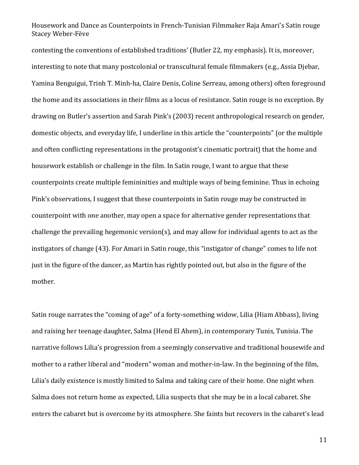contesting the conventions of established traditions' (Butler 22, my emphasis). It is, moreover, interesting to note that many postcolonial or transcultural female filmmakers (e.g., Assia Djebar, Yamina Benguigui, Trinh T. Minh-ha, Claire Denis, Coline Serreau, among others) often foreground the home and its associations in their films as a locus of resistance. Satin rouge is no exception. By drawing on Butler's assertion and Sarah Pink's (2003) recent anthropological research on gender, domestic objects, and everyday life, I underline in this article the "counterpoints" (or the multiple and often conflicting representations in the protagonist's cinematic portrait) that the home and housework establish or challenge in the film. In Satin rouge, I want to argue that these counterpoints create multiple femininities and multiple ways of being feminine. Thus in echoing Pink's observations, I suggest that these counterpoints in Satin rouge may be constructed in counterpoint with one another, may open a space for alternative gender representations that challenge the prevailing hegemonic version(s), and may allow for individual agents to act as the instigators of change (43). For Amari in Satin rouge, this "instigator of change" comes to life not just in the figure of the dancer, as Martin has rightly pointed out, but also in the figure of the mother.

Satin rouge narrates the "coming of age" of a forty-something widow, Lilia (Hiam Abbass), living and raising her teenage daughter, Salma (Hend El Ahem), in contemporary Tunis, Tunisia. The narrative follows Lilia's progression from a seemingly conservative and traditional housewife and mother to a rather liberal and "modern" woman and mother-in-law. In the beginning of the film, Lilia's daily existence is mostly limited to Salma and taking care of their home. One night when Salma does not return home as expected, Lilia suspects that she may be in a local cabaret. She enters the cabaret but is overcome by its atmosphere. She faints but recovers in the cabaret's lead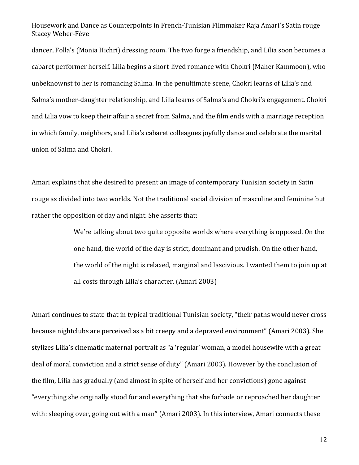dancer, Folla's (Monia Hichri) dressing room. The two forge a friendship, and Lilia soon becomes a cabaret performer herself. Lilia begins a short-lived romance with Chokri (Maher Kammoon), who unbeknownst to her is romancing Salma. In the penultimate scene, Chokri learns of Lilia's and Salma's mother-daughter relationship, and Lilia learns of Salma's and Chokri's engagement. Chokri and Lilia vow to keep their affair a secret from Salma, and the film ends with a marriage reception in which family, neighbors, and Lilia's cabaret colleagues joyfully dance and celebrate the marital union of Salma and Chokri.

Amari explains that she desired to present an image of contemporary Tunisian society in Satin rouge as divided into two worlds. Not the traditional social division of masculine and feminine but rather the opposition of day and night. She asserts that:

> We're talking about two quite opposite worlds where everything is opposed. On the one hand, the world of the day is strict, dominant and prudish. On the other hand, the world of the night is relaxed, marginal and lascivious. I wanted them to join up at all costs through Lilia's character. (Amari 2003)

Amari continues to state that in typical traditional Tunisian society, "their paths would never cross because nightclubs are perceived as a bit creepy and a depraved environment" (Amari 2003). She stylizes Lilia's cinematic maternal portrait as "a 'regular' woman, a model housewife with a great deal of moral conviction and a strict sense of duty" (Amari 2003). However by the conclusion of the film, Lilia has gradually (and almost in spite of herself and her convictions) gone against "everything she originally stood for and everything that she forbade or reproached her daughter with: sleeping over, going out with a man" (Amari 2003). In this interview, Amari connects these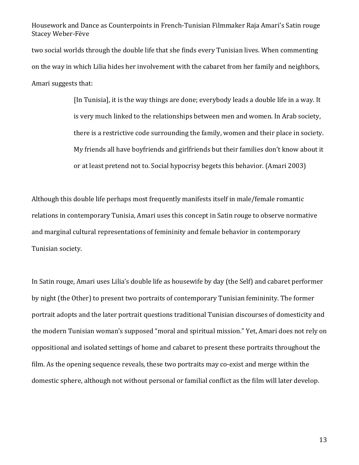two social worlds through the double life that she finds every Tunisian lives. When commenting on the way in which Lilia hides her involvement with the cabaret from her family and neighbors, Amari suggests that:

> [In Tunisia], it is the way things are done; everybody leads a double life in a way. It is very much linked to the relationships between men and women. In Arab society, there is a restrictive code surrounding the family, women and their place in society. My friends all have boyfriends and girlfriends but their families don't know about it or at least pretend not to. Social hypocrisy begets this behavior. (Amari 2003)

Although this double life perhaps most frequently manifests itself in male/female romantic relations in contemporary Tunisia, Amari uses this concept in Satin rouge to observe normative and marginal cultural representations of femininity and female behavior in contemporary Tunisian society.

In Satin rouge, Amari uses Lilia's double life as housewife by day (the Self) and cabaret performer by night (the Other) to present two portraits of contemporary Tunisian femininity. The former portrait adopts and the later portrait questions traditional Tunisian discourses of domesticity and the modern Tunisian woman's supposed "moral and spiritual mission." Yet, Amari does not rely on oppositional and isolated settings of home and cabaret to present these portraits throughout the film. As the opening sequence reveals, these two portraits may co-exist and merge within the domestic sphere, although not without personal or familial conflict as the film will later develop.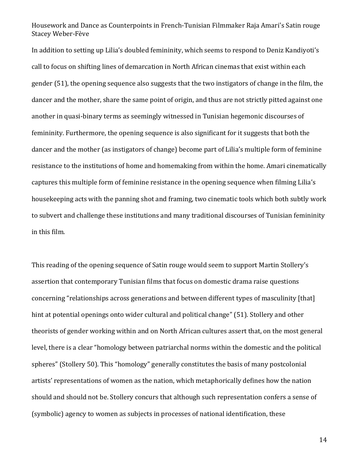In addition to setting up Lilia's doubled femininity, which seems to respond to Deniz Kandiyoti's call to focus on shifting lines of demarcation in North African cinemas that exist within each gender (51), the opening sequence also suggests that the two instigators of change in the film, the dancer and the mother, share the same point of origin, and thus are not strictly pitted against one another in quasi-binary terms as seemingly witnessed in Tunisian hegemonic discourses of femininity. Furthermore, the opening sequence is also significant for it suggests that both the dancer and the mother (as instigators of change) become part of Lilia's multiple form of feminine resistance to the institutions of home and homemaking from within the home. Amari cinematically captures this multiple form of feminine resistance in the opening sequence when filming Lilia's housekeeping acts with the panning shot and framing, two cinematic tools which both subtly work to subvert and challenge these institutions and many traditional discourses of Tunisian femininity in this film.

This reading of the opening sequence of Satin rouge would seem to support Martin Stollery's assertion that contemporary Tunisian films that focus on domestic drama raise questions concerning "relationships across generations and between different types of masculinity [that] hint at potential openings onto wider cultural and political change" (51). Stollery and other theorists of gender working within and on North African cultures assert that, on the most general level, there is a clear "homology between patriarchal norms within the domestic and the political spheres" (Stollery 50). This "homology" generally constitutes the basis of many postcolonial artists' representations of women as the nation, which metaphorically defines how the nation should and should not be. Stollery concurs that although such representation confers a sense of (symbolic) agency to women as subjects in processes of national identification, these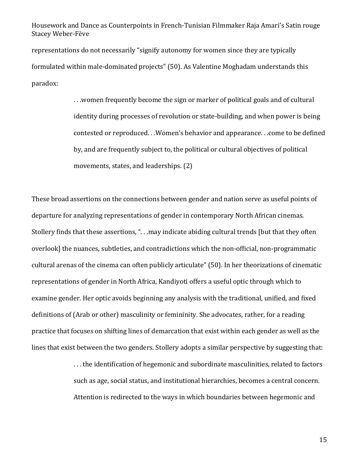representations do not necessarily "signify autonomy for women since they are typically formulated within male-dominated projects" (50). As Valentine Moghadam understands this paradox:

> . . .women frequently become the sign or marker of political goals and of cultural identity during processes of revolution or state-building, and when power is being contested or reproduced. . .Women's behavior and appearance. . .come to be defined by, and are frequently subject to, the political or cultural objectives of political movements, states, and leaderships. (2)

These broad assertions on the connections between gender and nation serve as useful points of departure for analyzing representations of gender in contemporary North African cinemas. Stollery finds that these assertions, ". . .may indicate abiding cultural trends [but that they often overlook] the nuances, subtleties, and contradictions which the non-official, non-programmatic cultural arenas of the cinema can often publicly articulate" (50). In her theorizations of cinematic representations of gender in North Africa, Kandiyoti offers a useful optic through which to examine gender. Her optic avoids beginning any analysis with the traditional, unified, and fixed definitions of (Arab or other) masculinity or femininity. She advocates, rather, for a reading practice that focuses on shifting lines of demarcation that exist within each gender as well as the lines that exist between the two genders. Stollery adopts a similar perspective by suggesting that:

> . . . the identification of hegemonic and subordinate masculinities, related to factors such as age, social status, and institutional hierarchies, becomes a central concern. Attention is redirected to the ways in which boundaries between hegemonic and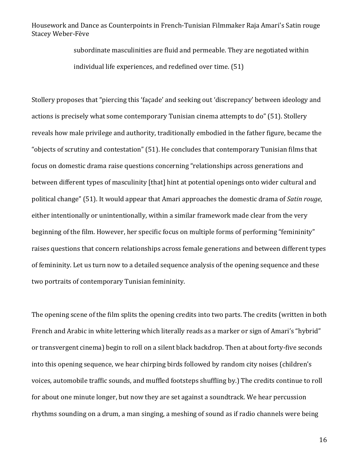> subordinate masculinities are fluid and permeable. They are negotiated within individual life experiences, and redefined over time. (51)

Stollery proposes that "piercing this 'façade' and seeking out 'discrepancy' between ideology and actions is precisely what some contemporary Tunisian cinema attempts to do" (51). Stollery reveals how male privilege and authority, traditionally embodied in the father figure, became the "objects of scrutiny and contestation" (51). He concludes that contemporary Tunisian films that focus on domestic drama raise questions concerning "relationships across generations and between different types of masculinity [that] hint at potential openings onto wider cultural and political change" (51). It would appear that Amari approaches the domestic drama of *Satin rouge*, either intentionally or unintentionally, within a similar framework made clear from the very beginning of the film. However, her specific focus on multiple forms of performing "femininity" raises questions that concern relationships across female generations and between different types of femininity. Let us turn now to a detailed sequence analysis of the opening sequence and these two portraits of contemporary Tunisian femininity.

The opening scene of the film splits the opening credits into two parts. The credits (written in both French and Arabic in white lettering which literally reads as a marker or sign of Amari's "hybrid" or transvergent cinema) begin to roll on a silent black backdrop. Then at about forty-five seconds into this opening sequence, we hear chirping birds followed by random city noises (children's voices, automobile traffic sounds, and muffled footsteps shuffling by.) The credits continue to roll for about one minute longer, but now they are set against a soundtrack. We hear percussion rhythms sounding on a drum, a man singing, a meshing of sound as if radio channels were being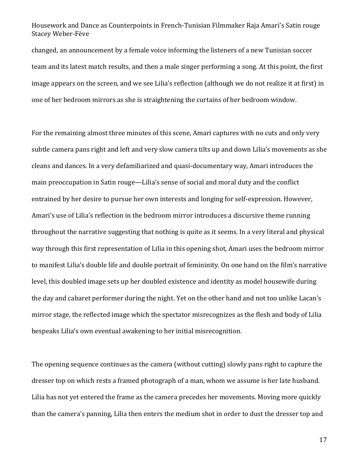changed, an announcement by a female voice informing the listeners of a new Tunisian soccer team and its latest match results, and then a male singer performing a song. At this point, the first image appears on the screen, and we see Lilia's reflection (although we do not realize it at first) in one of her bedroom mirrors as she is straightening the curtains of her bedroom window.

For the remaining almost three minutes of this scene, Amari captures with no cuts and only very subtle camera pans right and left and very slow camera tilts up and down Lilia's movements as she cleans and dances. In a very defamiliarized and quasi-documentary way, Amari introduces the main preoccupation in Satin rouge—Lilia's sense of social and moral duty and the conflict entrained by her desire to pursue her own interests and longing for self-expression. However, Amari's use of Lilia's reflection in the bedroom mirror introduces a discursive theme running throughout the narrative suggesting that nothing is quite as it seems. In a very literal and physical way through this first representation of Lilia in this opening shot, Amari uses the bedroom mirror to manifest Lilia's double life and double portrait of femininity. On one hand on the film's narrative level, this doubled image sets up her doubled existence and identity as model housewife during the day and cabaret performer during the night. Yet on the other hand and not too unlike Lacan's mirror stage, the reflected image which the spectator misrecognizes as the flesh and body of Lilia bespeaks Lilia's own eventual awakening to her initial misrecognition.

The opening sequence continues as the camera (without cutting) slowly pans right to capture the dresser top on which rests a framed photograph of a man, whom we assume is her late husband. Lilia has not yet entered the frame as the camera precedes her movements. Moving more quickly than the camera's panning, Lilia then enters the medium shot in order to dust the dresser top and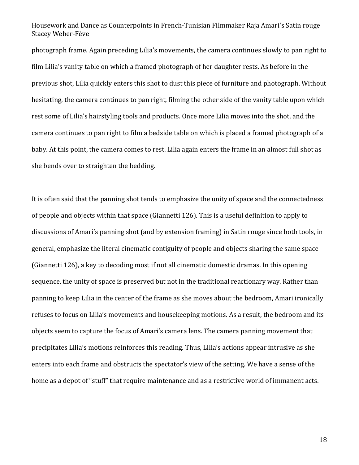photograph frame. Again preceding Lilia's movements, the camera continues slowly to pan right to film Lilia's vanity table on which a framed photograph of her daughter rests. As before in the previous shot, Lilia quickly enters this shot to dust this piece of furniture and photograph. Without hesitating, the camera continues to pan right, filming the other side of the vanity table upon which rest some of Lilia's hairstyling tools and products. Once more Lilia moves into the shot, and the camera continues to pan right to film a bedside table on which is placed a framed photograph of a baby. At this point, the camera comes to rest. Lilia again enters the frame in an almost full shot as she bends over to straighten the bedding.

It is often said that the panning shot tends to emphasize the unity of space and the connectedness of people and objects within that space (Giannetti 126). This is a useful definition to apply to discussions of Amari's panning shot (and by extension framing) in Satin rouge since both tools, in general, emphasize the literal cinematic contiguity of people and objects sharing the same space (Giannetti 126), a key to decoding most if not all cinematic domestic dramas. In this opening sequence, the unity of space is preserved but not in the traditional reactionary way. Rather than panning to keep Lilia in the center of the frame as she moves about the bedroom, Amari ironically refuses to focus on Lilia's movements and housekeeping motions. As a result, the bedroom and its objects seem to capture the focus of Amari's camera lens. The camera panning movement that precipitates Lilia's motions reinforces this reading. Thus, Lilia's actions appear intrusive as she enters into each frame and obstructs the spectator's view of the setting. We have a sense of the home as a depot of "stuff" that require maintenance and as a restrictive world of immanent acts.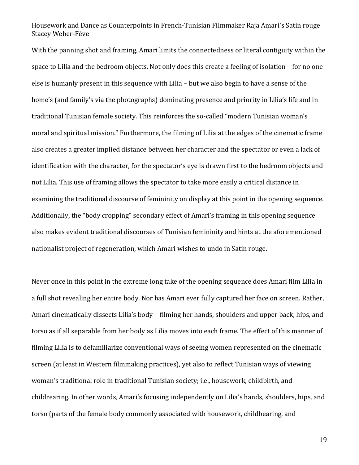With the panning shot and framing, Amari limits the connectedness or literal contiguity within the space to Lilia and the bedroom objects. Not only does this create a feeling of isolation – for no one else is humanly present in this sequence with Lilia – but we also begin to have a sense of the home's (and family's via the photographs) dominating presence and priority in Lilia's life and in traditional Tunisian female society. This reinforces the so-called "modern Tunisian woman's moral and spiritual mission." Furthermore, the filming of Lilia at the edges of the cinematic frame also creates a greater implied distance between her character and the spectator or even a lack of identification with the character, for the spectator's eye is drawn first to the bedroom objects and not Lilia. This use of framing allows the spectator to take more easily a critical distance in examining the traditional discourse of femininity on display at this point in the opening sequence. Additionally, the "body cropping" secondary effect of Amari's framing in this opening sequence also makes evident traditional discourses of Tunisian femininity and hints at the aforementioned nationalist project of regeneration, which Amari wishes to undo in Satin rouge.

Never once in this point in the extreme long take of the opening sequence does Amari film Lilia in a full shot revealing her entire body. Nor has Amari ever fully captured her face on screen. Rather, Amari cinematically dissects Lilia's body—filming her hands, shoulders and upper back, hips, and torso as if all separable from her body as Lilia moves into each frame. The effect of this manner of filming Lilia is to defamiliarize conventional ways of seeing women represented on the cinematic screen (at least in Western filmmaking practices), yet also to reflect Tunisian ways of viewing woman's traditional role in traditional Tunisian society; i.e., housework, childbirth, and childrearing. In other words, Amari's focusing independently on Lilia's hands, shoulders, hips, and torso (parts of the female body commonly associated with housework, childbearing, and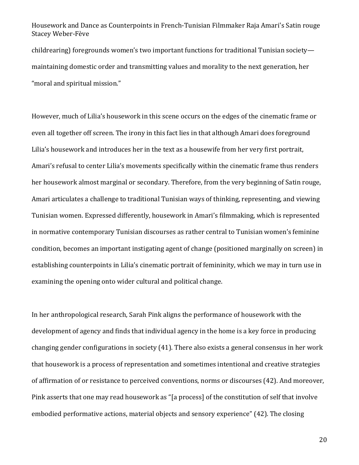childrearing) foregrounds women's two important functions for traditional Tunisian society maintaining domestic order and transmitting values and morality to the next generation, her "moral and spiritual mission."

However, much of Lilia's housework in this scene occurs on the edges of the cinematic frame or even all together off screen. The irony in this fact lies in that although Amari does foreground Lilia's housework and introduces her in the text as a housewife from her very first portrait, Amari's refusal to center Lilia's movements specifically within the cinematic frame thus renders her housework almost marginal or secondary. Therefore, from the very beginning of Satin rouge, Amari articulates a challenge to traditional Tunisian ways of thinking, representing, and viewing Tunisian women. Expressed differently, housework in Amari's filmmaking, which is represented in normative contemporary Tunisian discourses as rather central to Tunisian women's feminine condition, becomes an important instigating agent of change (positioned marginally on screen) in establishing counterpoints in Lilia's cinematic portrait of femininity, which we may in turn use in examining the opening onto wider cultural and political change.

In her anthropological research, Sarah Pink aligns the performance of housework with the development of agency and finds that individual agency in the home is a key force in producing changing gender configurations in society (41). There also exists a general consensus in her work that housework is a process of representation and sometimes intentional and creative strategies of affirmation of or resistance to perceived conventions, norms or discourses (42). And moreover, Pink asserts that one may read housework as "[a process] of the constitution of self that involve embodied performative actions, material objects and sensory experience" (42). The closing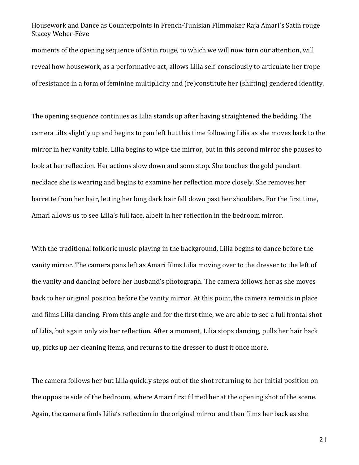moments of the opening sequence of Satin rouge, to which we will now turn our attention, will reveal how housework, as a performative act, allows Lilia self-consciously to articulate her trope of resistance in a form of feminine multiplicity and (re)constitute her (shifting) gendered identity.

The opening sequence continues as Lilia stands up after having straightened the bedding. The camera tilts slightly up and begins to pan left but this time following Lilia as she moves back to the mirror in her vanity table. Lilia begins to wipe the mirror, but in this second mirror she pauses to look at her reflection. Her actions slow down and soon stop. She touches the gold pendant necklace she is wearing and begins to examine her reflection more closely. She removes her barrette from her hair, letting her long dark hair fall down past her shoulders. For the first time, Amari allows us to see Lilia's full face, albeit in her reflection in the bedroom mirror.

With the traditional folkloric music playing in the background, Lilia begins to dance before the vanity mirror. The camera pans left as Amari films Lilia moving over to the dresser to the left of the vanity and dancing before her husband's photograph. The camera follows her as she moves back to her original position before the vanity mirror. At this point, the camera remains in place and films Lilia dancing. From this angle and for the first time, we are able to see a full frontal shot of Lilia, but again only via her reflection. After a moment, Lilia stops dancing, pulls her hair back up, picks up her cleaning items, and returns to the dresser to dust it once more.

The camera follows her but Lilia quickly steps out of the shot returning to her initial position on the opposite side of the bedroom, where Amari first filmed her at the opening shot of the scene. Again, the camera finds Lilia's reflection in the original mirror and then films her back as she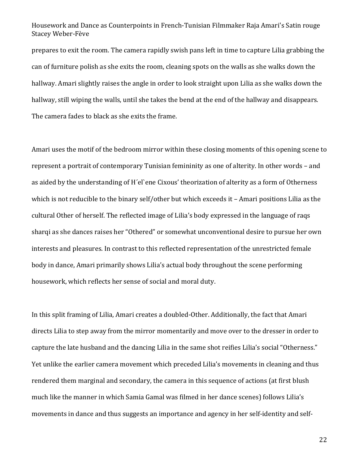prepares to exit the room. The camera rapidly swish pans left in time to capture Lilia grabbing the can of furniture polish as she exits the room, cleaning spots on the walls as she walks down the hallway. Amari slightly raises the angle in order to look straight upon Lilia as she walks down the hallway, still wiping the walls, until she takes the bend at the end of the hallway and disappears. The camera fades to black as she exits the frame.

Amari uses the motif of the bedroom mirror within these closing moments of this opening scene to represent a portrait of contemporary Tunisian femininity as one of alterity. In other words – and as aided by the understanding of H´el`ene Cixous' theorization of alterity as a form of Otherness which is not reducible to the binary self/other but which exceeds it – Amari positions Lilia as the cultural Other of herself. The reflected image of Lilia's body expressed in the language of raqs sharqi as she dances raises her "Othered" or somewhat unconventional desire to pursue her own interests and pleasures. In contrast to this reflected representation of the unrestricted female body in dance, Amari primarily shows Lilia's actual body throughout the scene performing housework, which reflects her sense of social and moral duty.

In this split framing of Lilia, Amari creates a doubled-Other. Additionally, the fact that Amari directs Lilia to step away from the mirror momentarily and move over to the dresser in order to capture the late husband and the dancing Lilia in the same shot reifies Lilia's social "Otherness." Yet unlike the earlier camera movement which preceded Lilia's movements in cleaning and thus rendered them marginal and secondary, the camera in this sequence of actions (at first blush much like the manner in which Samia Gamal was filmed in her dance scenes) follows Lilia's movements in dance and thus suggests an importance and agency in her self-identity and self-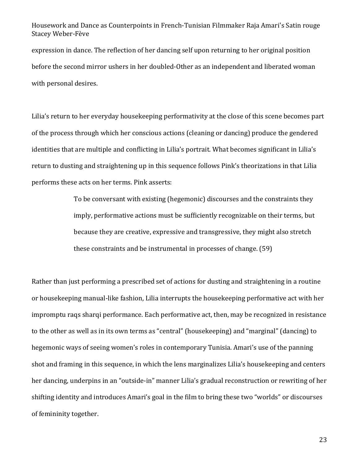expression in dance. The reflection of her dancing self upon returning to her original position before the second mirror ushers in her doubled-Other as an independent and liberated woman with personal desires.

Lilia's return to her everyday housekeeping performativity at the close of this scene becomes part of the process through which her conscious actions (cleaning or dancing) produce the gendered identities that are multiple and conflicting in Lilia's portrait. What becomes significant in Lilia's return to dusting and straightening up in this sequence follows Pink's theorizations in that Lilia performs these acts on her terms. Pink asserts:

> To be conversant with existing (hegemonic) discourses and the constraints they imply, performative actions must be sufficiently recognizable on their terms, but because they are creative, expressive and transgressive, they might also stretch these constraints and be instrumental in processes of change. (59)

Rather than just performing a prescribed set of actions for dusting and straightening in a routine or housekeeping manual-like fashion, Lilia interrupts the housekeeping performative act with her impromptu raqs sharqi performance. Each performative act, then, may be recognized in resistance to the other as well as in its own terms as "central" (housekeeping) and "marginal" (dancing) to hegemonic ways of seeing women's roles in contemporary Tunisia. Amari's use of the panning shot and framing in this sequence, in which the lens marginalizes Lilia's housekeeping and centers her dancing, underpins in an "outside-in" manner Lilia's gradual reconstruction or rewriting of her shifting identity and introduces Amari's goal in the film to bring these two "worlds" or discourses of femininity together.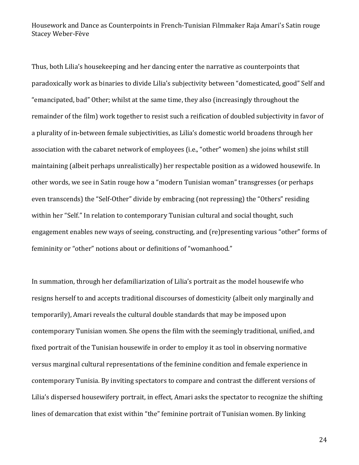Thus, both Lilia's housekeeping and her dancing enter the narrative as counterpoints that paradoxically work as binaries to divide Lilia's subjectivity between "domesticated, good" Self and "emancipated, bad" Other; whilst at the same time, they also (increasingly throughout the remainder of the film) work together to resist such a reification of doubled subjectivity in favor of a plurality of in-between female subjectivities, as Lilia's domestic world broadens through her association with the cabaret network of employees (i.e., "other" women) she joins whilst still maintaining (albeit perhaps unrealistically) her respectable position as a widowed housewife. In other words, we see in Satin rouge how a "modern Tunisian woman" transgresses (or perhaps even transcends) the "Self-Other" divide by embracing (not repressing) the "Others" residing within her "Self." In relation to contemporary Tunisian cultural and social thought, such engagement enables new ways of seeing, constructing, and (re)presenting various "other" forms of femininity or "other" notions about or definitions of "womanhood."

In summation, through her defamiliarization of Lilia's portrait as the model housewife who resigns herself to and accepts traditional discourses of domesticity (albeit only marginally and temporarily), Amari reveals the cultural double standards that may be imposed upon contemporary Tunisian women. She opens the film with the seemingly traditional, unified, and fixed portrait of the Tunisian housewife in order to employ it as tool in observing normative versus marginal cultural representations of the feminine condition and female experience in contemporary Tunisia. By inviting spectators to compare and contrast the different versions of Lilia's dispersed housewifery portrait, in effect, Amari asks the spectator to recognize the shifting lines of demarcation that exist within "the" feminine portrait of Tunisian women. By linking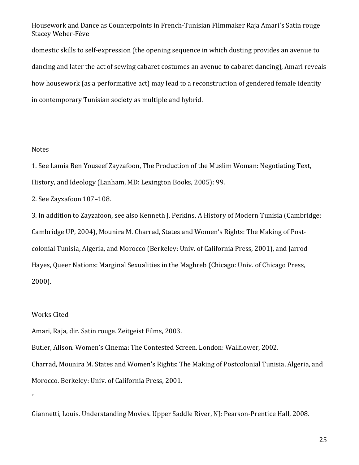domestic skills to self-expression (the opening sequence in which dusting provides an avenue to dancing and later the act of sewing cabaret costumes an avenue to cabaret dancing), Amari reveals how housework (as a performative act) may lead to a reconstruction of gendered female identity in contemporary Tunisian society as multiple and hybrid.

### Notes

1. See Lamia Ben Youseef Zayzafoon, The Production of the Muslim Woman: Negotiating Text, History, and Ideology (Lanham, MD: Lexington Books, 2005): 99.

2. See Zayzafoon 107–108.

3. In addition to Zayzafoon, see also Kenneth J. Perkins, A History of Modern Tunisia (Cambridge: Cambridge UP, 2004), Mounira M. Charrad, States and Women's Rights: The Making of Postcolonial Tunisia, Algeria, and Morocco (Berkeley: Univ. of California Press, 2001), and Jarrod Hayes, Queer Nations: Marginal Sexualities in the Maghreb (Chicago: Univ. of Chicago Press, 2000).

### Works Cited

´

Amari, Raja, dir. Satin rouge. Zeitgeist Films, 2003.

Butler, Alison. Women's Cinema: The Contested Screen. London: Wallflower, 2002.

Charrad, Mounira M. States and Women's Rights: The Making of Postcolonial Tunisia, Algeria, and Morocco. Berkeley: Univ. of California Press, 2001.

Giannetti, Louis. Understanding Movies. Upper Saddle River, NJ: Pearson-Prentice Hall, 2008.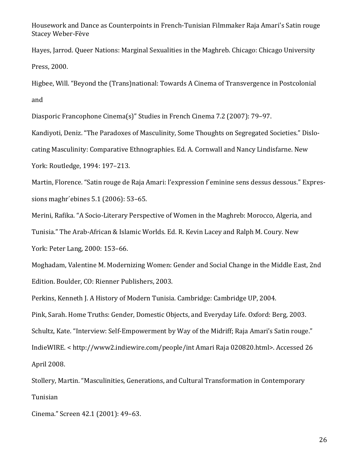Hayes, Jarrod. Queer Nations: Marginal Sexualities in the Maghreb. Chicago: Chicago University Press, 2000.

Higbee, Will. "Beyond the (Trans)national: Towards A Cinema of Transvergence in Postcolonial and

Diasporic Francophone Cinema(s)" Studies in French Cinema 7.2 (2007): 79–97.

Kandiyoti, Deniz. "The Paradoxes of Masculinity, Some Thoughts on Segregated Societies." Dislo-

cating Masculinity: Comparative Ethnographies. Ed. A. Cornwall and Nancy Lindisfarne. New

York: Routledge, 1994: 197–213.

Martin, Florence. "Satin rouge de Raja Amari: l'expression f´eminine sens dessus dessous." Expressions maghr´ebines 5.1 (2006): 53–65.

Merini, Rafika. "A Socio-Literary Perspective of Women in the Maghreb: Morocco, Algeria, and Tunisia." The Arab-African & Islamic Worlds. Ed. R. Kevin Lacey and Ralph M. Coury. New York: Peter Lang, 2000: 153–66.

Moghadam, Valentine M. Modernizing Women: Gender and Social Change in the Middle East, 2nd Edition. Boulder, CO: Rienner Publishers, 2003.

Perkins, Kenneth J. A History of Modern Tunisia. Cambridge: Cambridge UP, 2004.

Pink, Sarah. Home Truths: Gender, Domestic Objects, and Everyday Life. Oxford: Berg, 2003.

Schultz, Kate. "Interview: Self-Empowerment by Way of the Midriff; Raja Amari's Satin rouge."

IndieWIRE. < http://www2.indiewire.com/people/int Amari Raja 020820.html>. Accessed 26 April 2008.

Stollery, Martin. "Masculinities, Generations, and Cultural Transformation in Contemporary Tunisian

Cinema." Screen 42.1 (2001): 49–63.